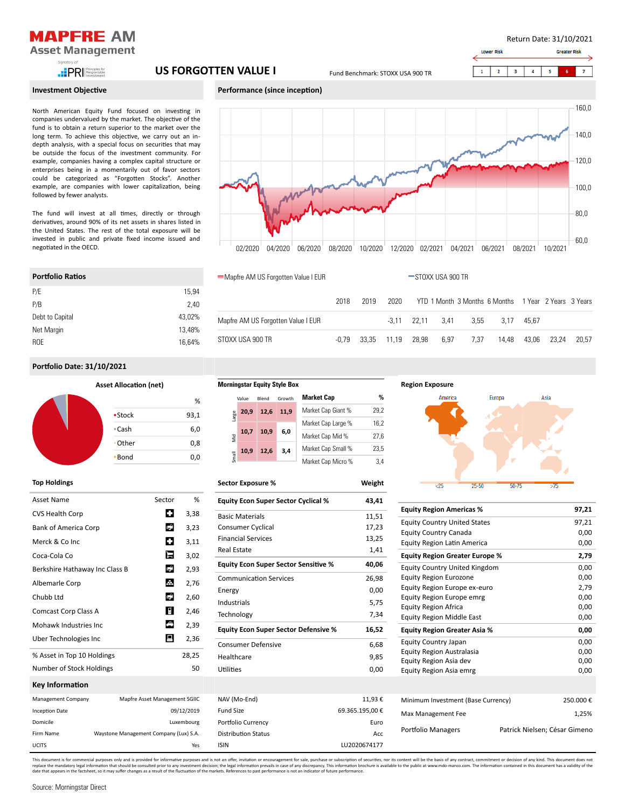

**PRI Responsible** 

# Investment Objective

North American Equity Fund focused on investing in companies undervalued by the market. The objective of the fund is to obtain a return superior to the market over the long term. To achieve this objective, we carry out an indepth analysis, with a special focus on securities that may be outside the focus of the investment community. For example, companies having a complex capital structure or enterprises being in a momentarily out of favor sectors could be categorized as "Forgotten Stocks". Another example, are companies with lower capitalization, being followed by fewer analysts.

The fund will invest at all times, directly or through derivatives, around 90% of its net assets in shares listed in the United States. The rest of the total exposure will be invested in public and private fixed income issued and negotiated in the OECD.

Return Date: 31/10/2021

**Greater Ri** 

60,0



02/2020 04/2020 06/2020 08/2020 10/2020 12/2020 02/2021 04/2021 06/2021 08/2021 10/2021

**Morningstar Equity Style Box**

Luxembourg

Yes

Waystone Management Company (Lux) S.A.

Mapfre AM US Forgotten Value I EUR STOXX USA 900 TR

2018 2019 2020 YTD 1 Month 3 Months 6 Months 1 Year 2 Years 3 Years

-3,11 22,11 3,41 3,55 3,17 45,67 -0,79 33,35 11,19 28,98 6,97 7,37 14,48 43,06 23,24 20,57

| <b>Portfolio Ratios</b> |        | ■Mapfre AM US Forgotten Value I EU |
|-------------------------|--------|------------------------------------|
| P/E                     | 15.94  |                                    |
| P/B                     | 2.40   |                                    |
| Debt to Capital         | 43,02% | Mapfre AM US Forgotten Value I EUR |
| Net Margin              | 13.48% |                                    |
| <b>ROE</b>              | 16.64% | STOXX USA 900 TR                   |
|                         |        |                                    |

## Portfolio Date: 31/10/2021

Por�olio Ra�os

| <b>Asset Allocation (net)</b> |      |
|-------------------------------|------|
|                               | %    |
| •Stock                        | 93,1 |
| $\cdot$ Cash                  | 6,0  |
| •Other                        | 0,8  |
| •Bond                         | 0,0  |

### Top Holdings

| Asset Name                     | Sector                        | %          |
|--------------------------------|-------------------------------|------------|
| <b>CVS Health Corp</b>         | о                             | 3,38       |
| <b>Bank of America Corp</b>    | L. <sup>0</sup>               | 3,23       |
| Merck & Co Inc                 | α                             | 3,11       |
| Coca-Cola Co                   | E                             | 3,02       |
| Berkshire Hathaway Inc Class B | L. <sup>0</sup>               | 2,93       |
| Albemarle Corp                 | 岳                             | 2,76       |
| Chubb Ltd                      | L. <sup>0</sup>               | 2,60       |
| Comcast Corp Class A           | $\mathbb{R}$                  | 2,46       |
| Mohawk Industries Inc.         | ♠                             | 2,39       |
| Uber Technologies Inc          | Д                             | 2,36       |
| % Asset in Top 10 Holdings     |                               | 28,25      |
| Number of Stock Holdings       |                               | 50         |
| Key Information                |                               |            |
| Management Company             | Mapfre Asset Management SGIIC |            |
| <b>Inception Date</b>          |                               | 09/12/2019 |

|       | Value | Blend | Growth             | <b>Market Cap</b>  | %    |
|-------|-------|-------|--------------------|--------------------|------|
| arge  | 20.9  | 12,6  | 11.9               | Market Cap Giant % | 29,2 |
|       |       |       |                    | Market Cap Large % | 16,2 |
| Viid  | 10.7  | 10,9  | 6,0                | Market Cap Mid %   | 27.6 |
|       | 10.9  | 12,6  | 3.4                | Market Cap Small % | 23,5 |
| Small |       |       | Market Cap Micro % | 3.4                |      |

Sector Exposure % Weight

| <b>Equity Econ Super Sector Cyclical %</b>  | 43,41           |
|---------------------------------------------|-----------------|
| <b>Basic Materials</b>                      | 11,51           |
| Consumer Cyclical                           | 17,23           |
| <b>Financial Services</b>                   | 13,25           |
| <b>Real Estate</b>                          | 1.41            |
| <b>Equity Econ Super Sector Sensitive %</b> | 40,06           |
| <b>Communication Services</b>               | 26,98           |
| Energy                                      | 0,00            |
| Industrials                                 | 5,75            |
| Technology                                  | 7,34            |
| <b>Equity Econ Super Sector Defensive %</b> | 16,52           |
| <b>Consumer Defensive</b>                   | 6,68            |
| Healthcare                                  | 9,85            |
| Utilities                                   | 0,00            |
|                                             |                 |
| NAV (Mo-End)                                | 11,93€          |
| <b>Fund Size</b>                            | 69.365.195,00 € |
| Portfolio Currency                          | Euro            |
| <b>Distribution Status</b>                  | Acc             |
| <b>ISIN</b>                                 | LU2020674177    |



| <b>Equity Region Americas %</b>       | 97.21                         |
|---------------------------------------|-------------------------------|
| <b>Equity Country United States</b>   | 97,21                         |
| Equity Country Canada                 | 0,00                          |
| Equity Region Latin America           | 0,00                          |
| <b>Equity Region Greater Europe %</b> | 2,79                          |
| <b>Equity Country United Kingdom</b>  | 0,00                          |
| <b>Equity Region Eurozone</b>         | 0,00                          |
| Equity Region Europe ex-euro          | 2,79                          |
| Equity Region Europe emrg             | 0.00                          |
| <b>Equity Region Africa</b>           | 0,00                          |
| <b>Equity Region Middle East</b>      | 0,00                          |
| <b>Equity Region Greater Asia %</b>   | 0,00                          |
| <b>Equity Country Japan</b>           | 0,00                          |
| Equity Region Australasia             | 0,00                          |
| Equity Region Asia dev                | 0,00                          |
| Equity Region Asia emrg               | 0,00                          |
|                                       |                               |
| Minimum Investment (Base Currency)    | 250.000€                      |
| Max Management Fee                    | 1,25%                         |
| Portfolio Managers                    | Patrick Nielsen; César Gimeno |

This document is for commercial purposes only and is provided for informative purposes and is not an offer, invitation or encouragement for sale, purchase or subscription of securities, nor its content will be the basis of replace the mandatory legal information that should be consulted prior to any investment decision; the legal information prevails in case of any discrepancy. This information of the murkets, efferences to past performance

Domicile Firm Name UCITS